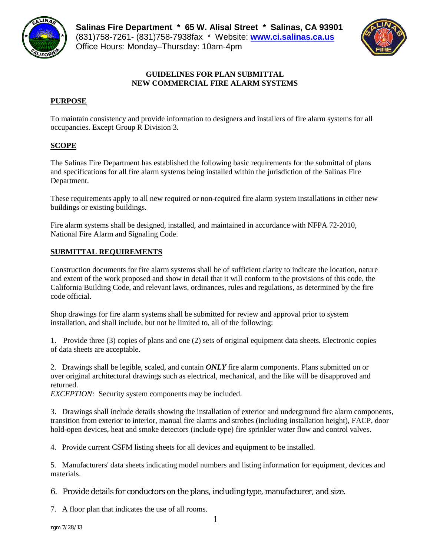



## **GUIDELINES FOR PLAN SUBMITTAL NEW COMMERCIAL FIRE ALARM SYSTEMS**

## **PURPOSE**

To maintain consistency and provide information to designers and installers of fire alarm systems for all occupancies. Except Group R Division 3.

# **SCOPE**

The Salinas Fire Department has established the following basic requirements for the submittal of plans and specifications for all fire alarm systems being installed within the jurisdiction of the Salinas Fire Department.

These requirements apply to all new required or non-required fire alarm system installations in either new buildings or existing buildings.

Fire alarm systems shall be designed, installed, and maintained in accordance with NFPA 72-2010, National Fire Alarm and Signaling Code.

# **SUBMITTAL REQUIREMENTS**

Construction documents for fire alarm systems shall be of sufficient clarity to indicate the location, nature and extent of the work proposed and show in detail that it will conform to the provisions of this code, the California Building Code, and relevant laws, ordinances, rules and regulations, as determined by the fire code official.

Shop drawings for fire alarm systems shall be submitted for review and approval prior to system installation, and shall include, but not be limited to, all of the following:

1. Provide three (3) copies of plans and one (2) sets of original equipment data sheets. Electronic copies of data sheets are acceptable.

2. Drawings shall be legible, scaled, and contain *ONLY* fire alarm components. Plans submitted on or over original architectural drawings such as electrical, mechanical, and the like will be disapproved and returned.

*EXCEPTION:* Security system components may be included.

3. Drawings shall include details showing the installation of exterior and underground fire alarm components, transition from exterior to interior, manual fire alarms and strobes (including installation height), FACP, door hold-open devices, heat and smoke detectors (include type) fire sprinkler water flow and control valves.

4. Provide current CSFM listing sheets for all devices and equipment to be installed.

5. Manufacturers' data sheets indicating model numbers and listing information for equipment, devices and materials.

## 6. Provide details for conductors on the plans, including type, manufacturer, and size.

7. A floor plan that indicates the use of all rooms.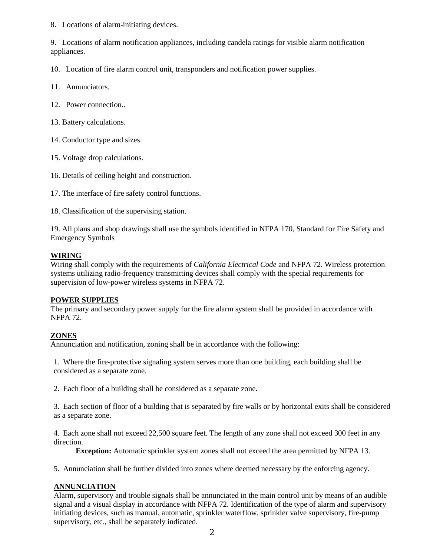8. Locations of alarm-initiating devices.

9. Locations of alarm notification appliances, including candela ratings for visible alarm notification appliances.

10. Location of fire alarm control unit, transponders and notification power supplies.

- 11. Annunciators.
- 12. Power connection..
- 13. Battery calculations.
- 14. Conductor type and sizes.
- 15. Voltage drop calculations.
- 16. Details of ceiling height and construction.
- 17. The interface of fire safety control functions.
- 18. Classification of the supervising station.

19. All plans and shop drawings shall use the symbols identified in NFPA 170, Standard for Fire Safety and Emergency Symbols

### **WIRING**

Wiring shall comply with the requirements of *California Electrical Code* and NFPA 72. Wireless protection systems utilizing radio-frequency transmitting devices shall comply with the special requirements for supervision of low-power wireless systems in NFPA 72.

#### **POWER SUPPLIES**

The primary and secondary power supply for the fire alarm system shall be provided in accordance with NFPA 72.

#### **ZONES**

Annunciation and notification, zoning shall be in accordance with the following:

1. Where the fire-protective signaling system serves more than one building, each building shall be considered as a separate zone.

2. Each floor of a building shall be considered as a separate zone.

3. Each section of floor of a building that is separated by fire walls or by horizontal exits shall be considered as a separate zone.

4. Each zone shall not exceed 22,500 square feet. The length of any zone shall not exceed 300 feet in any direction.

**Exception:** Automatic sprinkler system zones shall not exceed the area permitted by NFPA 13.

5. Annunciation shall be further divided into zones where deemed necessary by the enforcing agency.

#### **ANNUNCIATION**

Alarm, supervisory and trouble signals shall be annunciated in the main control unit by means of an audible signal and a visual display in accordance with NFPA 72. Identification of the type of alarm and supervisory initiating devices, such as manual, automatic, sprinkler waterflow, sprinkler valve supervisory, fire-pump supervisory, etc., shall be separately indicated.